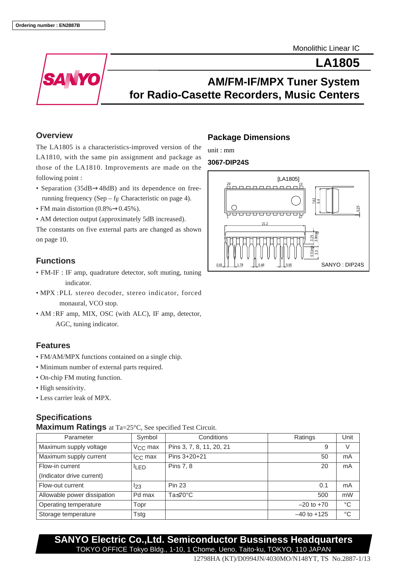Monolithic Linear IC

**LA1805**



# **AM/FM-IF/MPX Tuner System for Radio-Casette Recorders, Music Centers**

#### **Overview**

The LA1805 is a characteristics-improved version of the LA1810, with the same pin assignment and package as those of the LA1810. Improvements are made on the following point :

- Separation (35dB→48dB) and its dependence on freerunning frequency (Sep –  $f_F$  Characteristic on page 4).
- FM main distortion (0.8%→0.45%).
- AM detection output (approximately 5dB increased).

The constants on five external parts are changed as shown on page 10.

#### **Functions**

- FM-IF : IF amp, quadrature detector, soft muting, tuning indicator.
- MPX :PLL stereo decoder, stereo indicator, forced monaural, VCO stop.
- AM :RF amp, MIX, OSC (with ALC), IF amp, detector, AGC, tuning indicator.

### **Features**

- FM/AM/MPX functions contained on a single chip.
- Minimum number of external parts required.
- On-chip FM muting function.
- High sensitivity.
- Less carrier leak of MPX.

## **Specifications**

**Maximum Ratings** at Ta=25°C, See specified Test Circuit.

| Parameter                   | Symbol           | Conditions               | Ratings         | Unit        |
|-----------------------------|------------------|--------------------------|-----------------|-------------|
| Maximum supply voltage      | $V_{C}$ max      | Pins 3, 7, 8, 11, 20, 21 | 9               | V           |
| Maximum supply current      | $I_{\rm CC}$ max | Pins $3+20+21$           | 50              | mA          |
| Flow-in current             | <b>ILED</b>      | Pins 7, 8                | 20              | mA          |
| (Indicator drive current)   |                  |                          |                 |             |
| Flow-out current            | 123              | <b>Pin 23</b>            | 0.1             | mA          |
| Allowable power dissipation | Pd max           | Ta≤70°C                  | 500             | mW          |
| Operating temperature       | Topr             |                          | $-20$ to $+70$  | °C          |
| Storage temperature         | Tstg             |                          | $-40$ to $+125$ | $^{\circ}C$ |

**SANYO Electric Co.,Ltd. Semiconductor Bussiness Headquarters** TOKYO OFFICE Tokyo Bldg., 1-10, 1 Chome, Ueno, Taito-ku, TOKYO, 110 JAPAN

## **Package Dimensions**

unit : mm

#### **3067-DIP24S**

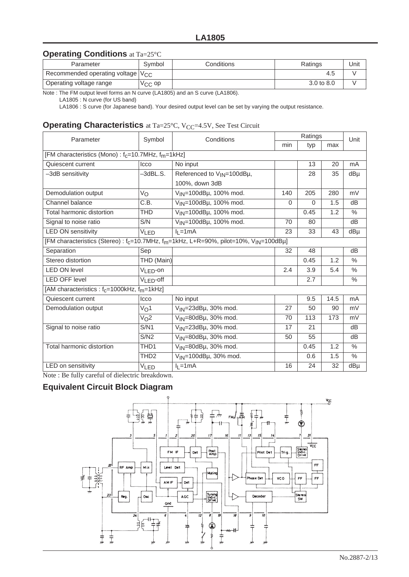## **Operating Conditions** at Ta=25°C

| Parameter                                       | Symbol             | Conditions | Ratings               | Unit |
|-------------------------------------------------|--------------------|------------|-----------------------|------|
| Recommended operating voltage   V <sub>CC</sub> |                    |            | 4.5                   |      |
| Operating voltage range                         | V <sub>CC</sub> op |            | $3.0 \text{ to } 8.0$ |      |

Note : The FM output level forms an N curve (LA1805) and an S curve (LA1806).

LA1805 : N curve (for US band)

LA1806 : S curve (for Japanese band). Your desired output level can be set by varying the output resistance.

#### **Operating Characteristics** at Ta=25°C, V<sub>CC</sub>=4.5V, See Test Circuit

| Parameter                                                                                                                  | Symbol               | Conditions                             | Ratings  |      |      | Unit          |  |  |  |
|----------------------------------------------------------------------------------------------------------------------------|----------------------|----------------------------------------|----------|------|------|---------------|--|--|--|
|                                                                                                                            |                      |                                        | min      | typ  | max  |               |  |  |  |
| [FM characteristics (Mono): f <sub>c</sub> =10.7MHz, f <sub>m</sub> =1kHz]                                                 |                      |                                        |          |      |      |               |  |  |  |
| Quiescent current                                                                                                          | Icco                 | No input                               |          | 13   | 20   | mA            |  |  |  |
| -3dB sensitivity                                                                                                           | -3dBL.S.             | Referenced to V <sub>IN</sub> =100dBµ, |          | 28   | 35   | dBµ           |  |  |  |
|                                                                                                                            |                      | 100%, down 3dB                         |          |      |      |               |  |  |  |
| Demodulation output                                                                                                        | Vo                   | V <sub>IN</sub> =100dBµ, 100% mod.     | 140      | 205  | 280  | mV            |  |  |  |
| Channel balance                                                                                                            | C.B.                 | V <sub>IN</sub> =100dBµ, 100% mod.     | $\Omega$ | 0    | 1.5  | dB            |  |  |  |
| Total harmonic distortion                                                                                                  | <b>THD</b>           | V <sub>IN</sub> =100dBµ, 100% mod.     |          | 0.45 | 1.2  | $\frac{0}{0}$ |  |  |  |
| Signal to noise ratio                                                                                                      | S/N                  | V <sub>IN</sub> =100dBµ, 100% mod.     | 70       | 80   |      | dB            |  |  |  |
| <b>LED ON sensitivity</b>                                                                                                  | VLED                 | $II = 1mA$                             | 23       | 33   | 43   | dBµ           |  |  |  |
| [FM characteristics (Stereo) : f <sub>c</sub> =10.7MHz, f <sub>m</sub> =1kHz, L+R=90%, pilot=10%, V <sub>IN</sub> =100dBµ] |                      |                                        |          |      |      |               |  |  |  |
| Separation                                                                                                                 | Sep                  |                                        | 32       | 48   |      | dB            |  |  |  |
| Stereo distortion                                                                                                          | THD (Main)           |                                        |          | 0.45 | 1.2  | $\%$          |  |  |  |
| <b>LED ON level</b>                                                                                                        | V <sub>LED-</sub> on |                                        | 2.4      | 3.9  | 5.4  | $\frac{0}{0}$ |  |  |  |
| <b>LED OFF level</b>                                                                                                       | $V_{LED}$ -off       |                                        |          | 2.7  |      | $\frac{0}{0}$ |  |  |  |
| [AM characteristics : $f_c$ =1000kHz, $f_m$ =1kHz]                                                                         |                      |                                        |          |      |      |               |  |  |  |
| Quiescent current                                                                                                          | Icco                 | No input                               |          | 9.5  | 14.5 | mA            |  |  |  |
| Demodulation output                                                                                                        | V <sub>O</sub> 1     | V <sub>IN</sub> =23dBµ, 30% mod.       | 27       | 50   | 90   | mV            |  |  |  |
|                                                                                                                            | V <sub>O</sub> 2     | V <sub>IN</sub> =80dBµ, 30% mod.       | 70       | 113  | 173  | mV            |  |  |  |
| Signal to noise ratio                                                                                                      | S/N1                 | $V_{IN}$ =23dB $\mu$ , 30% mod.        | 17       | 21   |      | dB            |  |  |  |
|                                                                                                                            | S/N2                 | V <sub>IN</sub> =80dBµ, 30% mod.       | 50       | 55   |      | dB            |  |  |  |
| Total harmonic distortion                                                                                                  | TH <sub>D</sub> 1    | V <sub>IN</sub> =80dBµ, 30% mod.       |          | 0.45 | 1.2  | $\%$          |  |  |  |
|                                                                                                                            | TH <sub>D2</sub>     | V <sub>IN</sub> =100dBµ, 30% mod.      |          | 0.6  | 1.5  | $\%$          |  |  |  |
| LED on sensitivity                                                                                                         | <b>VLED</b>          | $II = 1 mA$                            | 16       | 24   | 32   | dBµ           |  |  |  |

Note : Be fully careful of dielectric breakdown.

## **Equivalent Circuit Block Diagram**

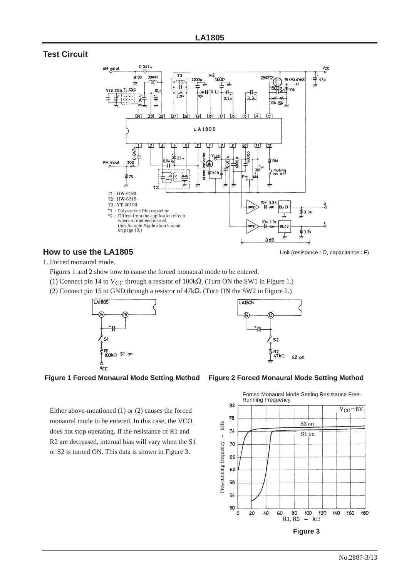#### **Test Circuit**



#### **How to use the LA1805**

1. Forced monaural mode.

Figures 1 and 2 show how to cause the forced monaural mode to be entered.

- (1) Connect pin 14 to V<sub>CC</sub> through a resistor of 100k $\Omega$ . (Turn ON the SW1 in Figure 1.)
- (2) Connect pin 15 to GND through a resistor of 47kΩ. (Turn ON the SW2 in Figure 2.)







Either above-mentioned (1) or (2) causes the forced monaural mode to be entered. In this case, the VCO does not stop operating. If the resistance of R1 and R2 are decreased, internal bias will vary when the S1 or S2 is turned ON. This data is shown in Figure 3.

**Figure 1 Forced Monaural Mode Setting Method Figure 2 Forced Monaural Mode Setting Method**

Unit (resistance : Ω, capacitance : F)

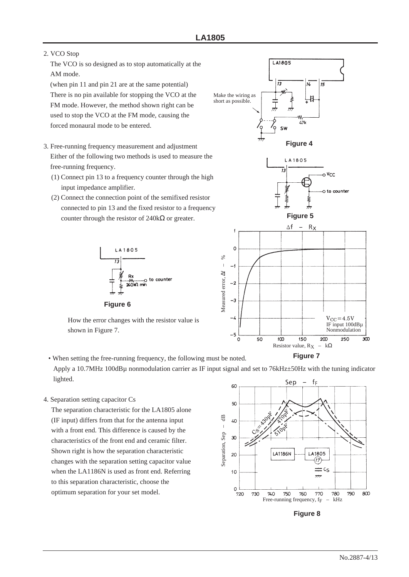#### 2. VCO Stop

The VCO is so designed as to stop automatically at the AM mode.

(when pin 11 and pin 21 are at the same potential) There is no pin available for stopping the VCO at the FM mode. However, the method shown right can be used to stop the VCO at the FM mode, causing the forced monaural mode to be entered.

- 3. Free-running frequency measurement and adjustment Either of the following two methods is used to measure the free-running frequency.
	- (1) Connect pin 13 to a frequency counter through the high input impedance amplifier.
	- (2) Connect the connection point of the semifixed resistor connected to pin 13 and the fixed resistor to a frequency counter through the resistor of  $240$ kΩ or greater.





LA1805

How the error changes with the resistor value is shown in Figure 7.

• When setting the free-running frequency, the following must be noted. Apply a 10.7MHz 100dBµ nonmodulation carrier as IF input signal and set to 76kHz±50Hz with the tuning indicator lighted.

4. Separation setting capacitor Cs

The separation characteristic for the LA1805 alone (IF input) differs from that for the antenna input with a front end. This difference is caused by the characteristics of the front end and ceramic filter. Shown right is how the separation characteristic changes with the separation setting capacitor value when the LA1186N is used as front end. Referring to this separation characteristic, choose the optimum separation for your set model.



**Figure 8**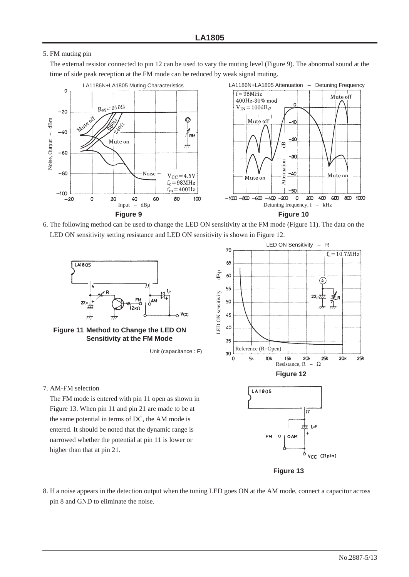#### 5. FM muting pin

The external resistor connected to pin 12 can be used to vary the muting level (Figure 9). The abnormal sound at the time of side peak reception at the FM mode can be reduced by weak signal muting.



6. The following method can be used to change the LED ON sensitivity at the FM mode (Figure 11). The data on the LED ON sensitivity setting resistance and LED ON sensitivity is shown in Figure 12.







7. AM-FM selection

The FM mode is entered with pin 11 open as shown in Figure 13. When pin 11 and pin 21 are made to be at the same potential in terms of DC, the AM mode is entered. It should be noted that the dynamic range is narrowed whether the potential at pin 11 is lower or higher than that at pin 21.







**FM**  $\circ$ о́ам

8. If a noise appears in the detection output when the tuning LED goes ON at the AM mode, connect a capacitor across pin 8 and GND to eliminate the noise.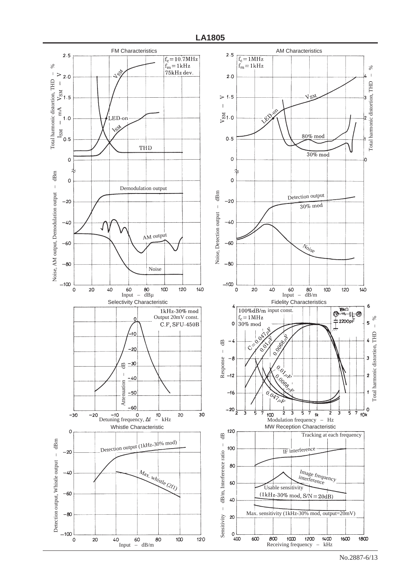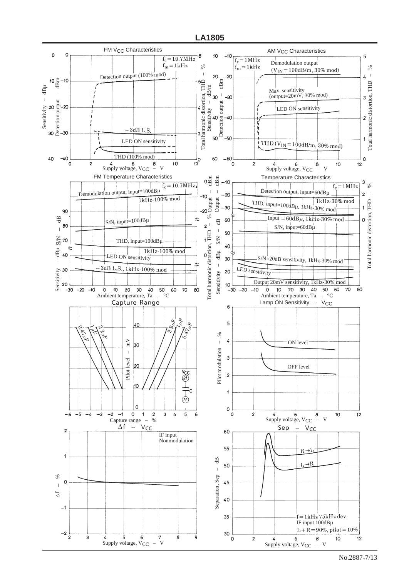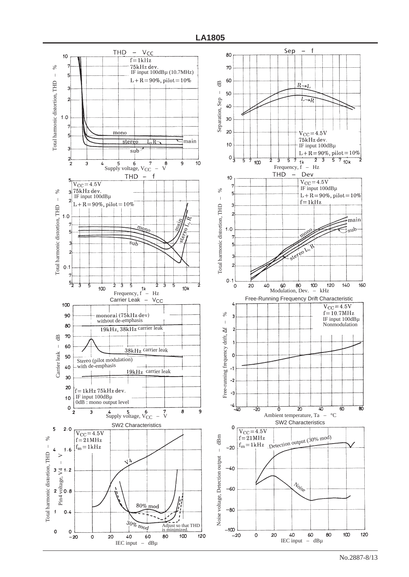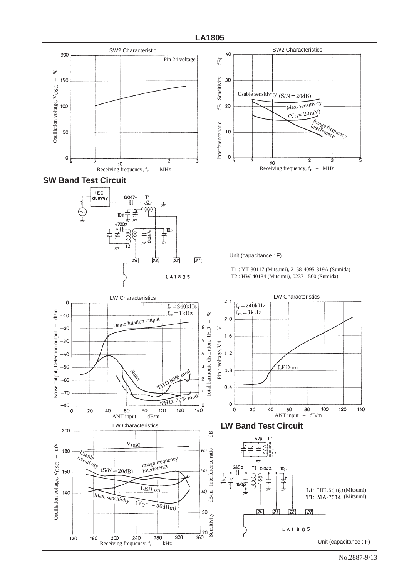







Unit (capacitance : F)



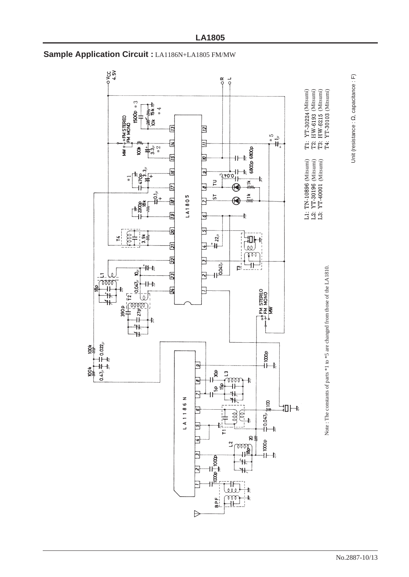

# **Sample Application Circuit :** LA1186N+LA1805 FM/MW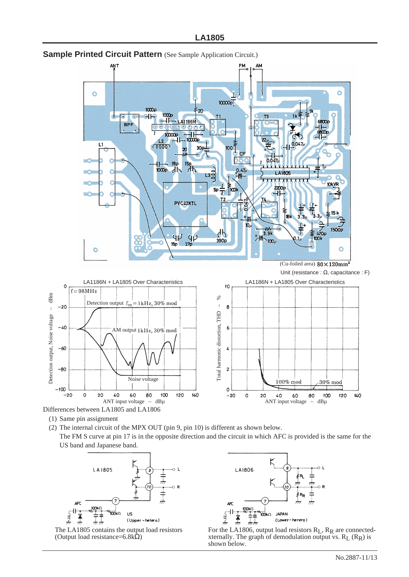

## **Sample Printed Circuit Pattern** (See Sample Application Circuit.)



- (1) Same pin assignment
- (2) The internal circuit of the MPX OUT (pin 9, pin 10) is different as shown below.
	- The FM S curve at pin 17 is in the opposite direction and the circuit in which AFC is provided is the same for the US band and Japanese band.







For the LA1806, output load resistors  $R_L$ ,  $R_R$  are connectedxternally. The graph of demodulation output vs.  $R_L$  ( $R_R$ ) is shown below.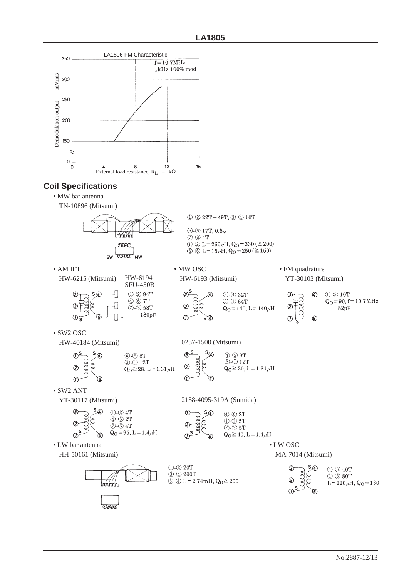